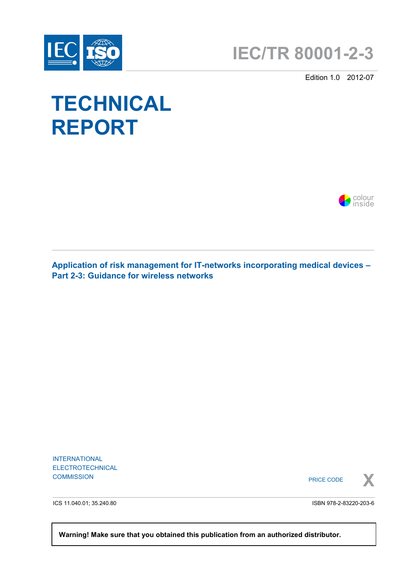



Edition 1.0 2012-07

# **TECHNICAL REPORT**



**Application of risk management for IT-networks incorporating medical devices – Part 2-3: Guidance for wireless networks**

INTERNATIONAL ELECTROTECHNICAL

COMMISSION **X** PRICE CODE



ICS 11.040.01; 35.240.80

ISBN 978-2-83220-203-6

 **Warning! Make sure that you obtained this publication from an authorized distributor.**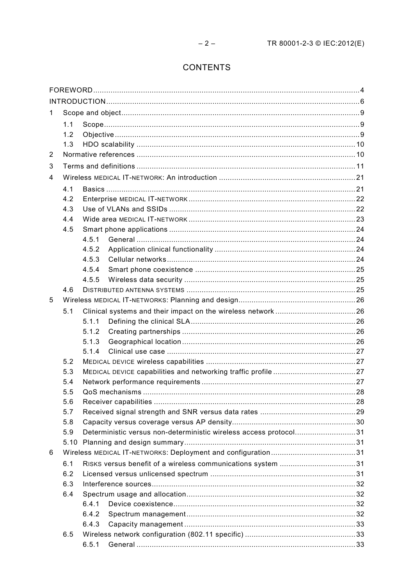# **CONTENTS**

| 1.  |            |                                                                   |                                                             |  |  |  |  |  |  |
|-----|------------|-------------------------------------------------------------------|-------------------------------------------------------------|--|--|--|--|--|--|
|     | 1.1        |                                                                   |                                                             |  |  |  |  |  |  |
|     | 1.2        |                                                                   |                                                             |  |  |  |  |  |  |
|     | 1.3        |                                                                   |                                                             |  |  |  |  |  |  |
| 2   |            |                                                                   |                                                             |  |  |  |  |  |  |
| 3   |            |                                                                   |                                                             |  |  |  |  |  |  |
| 4   |            |                                                                   |                                                             |  |  |  |  |  |  |
|     |            |                                                                   |                                                             |  |  |  |  |  |  |
|     | 4.1<br>4.2 |                                                                   |                                                             |  |  |  |  |  |  |
|     | 4.3        |                                                                   |                                                             |  |  |  |  |  |  |
|     | 4.4        |                                                                   |                                                             |  |  |  |  |  |  |
|     | 4.5        |                                                                   |                                                             |  |  |  |  |  |  |
|     |            | 4.5.1                                                             |                                                             |  |  |  |  |  |  |
|     |            | 4.5.2                                                             |                                                             |  |  |  |  |  |  |
|     |            | 4.5.3                                                             |                                                             |  |  |  |  |  |  |
|     |            | 4.5.4                                                             |                                                             |  |  |  |  |  |  |
|     |            | 4.5.5                                                             |                                                             |  |  |  |  |  |  |
|     | 4.6        |                                                                   |                                                             |  |  |  |  |  |  |
| 5   |            |                                                                   |                                                             |  |  |  |  |  |  |
|     | 5.1        |                                                                   |                                                             |  |  |  |  |  |  |
|     |            | 5.1.1                                                             |                                                             |  |  |  |  |  |  |
|     |            | 5.1.2                                                             |                                                             |  |  |  |  |  |  |
|     |            | 5.1.3                                                             |                                                             |  |  |  |  |  |  |
|     |            | 5.1.4                                                             |                                                             |  |  |  |  |  |  |
|     | 5.2        |                                                                   |                                                             |  |  |  |  |  |  |
|     | 5.3        |                                                                   |                                                             |  |  |  |  |  |  |
|     | 5.4        |                                                                   |                                                             |  |  |  |  |  |  |
|     | 5.5        |                                                                   |                                                             |  |  |  |  |  |  |
| 5.6 |            |                                                                   |                                                             |  |  |  |  |  |  |
|     | 5.7        |                                                                   |                                                             |  |  |  |  |  |  |
| 5.8 |            |                                                                   |                                                             |  |  |  |  |  |  |
|     | 5.9        | Deterministic versus non-deterministic wireless access protocol31 |                                                             |  |  |  |  |  |  |
|     | 5.10       |                                                                   |                                                             |  |  |  |  |  |  |
| 6   |            |                                                                   |                                                             |  |  |  |  |  |  |
|     | 6.1        |                                                                   | RISKS versus benefit of a wireless communications system 31 |  |  |  |  |  |  |
|     | 6.2        |                                                                   |                                                             |  |  |  |  |  |  |
|     | 6.3        |                                                                   |                                                             |  |  |  |  |  |  |
|     | 6.4        |                                                                   |                                                             |  |  |  |  |  |  |
|     |            | 6.4.1                                                             |                                                             |  |  |  |  |  |  |
|     |            | 6.4.2                                                             |                                                             |  |  |  |  |  |  |
|     |            | 6.4.3                                                             |                                                             |  |  |  |  |  |  |
|     | 6.5        |                                                                   |                                                             |  |  |  |  |  |  |
|     |            | 6.5.1                                                             |                                                             |  |  |  |  |  |  |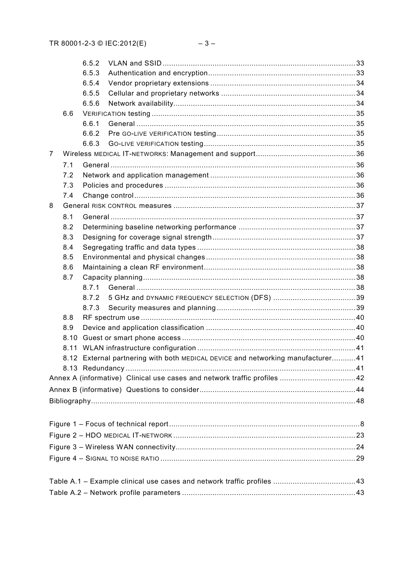|                |      | 6.5.2 |                                                                                 |  |  |  |  |  |  |
|----------------|------|-------|---------------------------------------------------------------------------------|--|--|--|--|--|--|
|                |      | 6.5.3 |                                                                                 |  |  |  |  |  |  |
|                |      | 6.5.4 |                                                                                 |  |  |  |  |  |  |
|                |      | 6.5.5 |                                                                                 |  |  |  |  |  |  |
|                |      | 6.5.6 |                                                                                 |  |  |  |  |  |  |
|                | 6.6  |       |                                                                                 |  |  |  |  |  |  |
|                |      | 6.6.1 |                                                                                 |  |  |  |  |  |  |
|                |      | 6.6.2 |                                                                                 |  |  |  |  |  |  |
|                |      | 6.6.3 |                                                                                 |  |  |  |  |  |  |
| $\overline{7}$ |      |       |                                                                                 |  |  |  |  |  |  |
|                | 7.1  |       |                                                                                 |  |  |  |  |  |  |
|                | 7.2  |       |                                                                                 |  |  |  |  |  |  |
|                | 7.3  |       |                                                                                 |  |  |  |  |  |  |
|                | 7.4  |       |                                                                                 |  |  |  |  |  |  |
| 8              |      |       |                                                                                 |  |  |  |  |  |  |
|                | 8.1  |       |                                                                                 |  |  |  |  |  |  |
|                | 8.2  |       |                                                                                 |  |  |  |  |  |  |
|                | 8.3  |       |                                                                                 |  |  |  |  |  |  |
|                | 8.4  |       |                                                                                 |  |  |  |  |  |  |
|                | 8.5  |       |                                                                                 |  |  |  |  |  |  |
|                | 8.6  |       |                                                                                 |  |  |  |  |  |  |
|                | 8.7  |       |                                                                                 |  |  |  |  |  |  |
|                |      | 8.7.1 |                                                                                 |  |  |  |  |  |  |
|                |      | 8.7.2 |                                                                                 |  |  |  |  |  |  |
|                |      | 8.7.3 |                                                                                 |  |  |  |  |  |  |
|                | 8.8  |       |                                                                                 |  |  |  |  |  |  |
|                | 8.9  |       |                                                                                 |  |  |  |  |  |  |
|                | 8.10 |       |                                                                                 |  |  |  |  |  |  |
|                |      |       |                                                                                 |  |  |  |  |  |  |
|                |      |       | 8.12 External partnering with both MEDICAL DEVICE and networking manufacturer41 |  |  |  |  |  |  |
|                |      |       |                                                                                 |  |  |  |  |  |  |
|                |      |       |                                                                                 |  |  |  |  |  |  |
|                |      |       |                                                                                 |  |  |  |  |  |  |
|                |      |       |                                                                                 |  |  |  |  |  |  |
|                |      |       |                                                                                 |  |  |  |  |  |  |
|                |      |       |                                                                                 |  |  |  |  |  |  |
|                |      |       |                                                                                 |  |  |  |  |  |  |
|                |      |       |                                                                                 |  |  |  |  |  |  |
|                |      |       |                                                                                 |  |  |  |  |  |  |
|                |      |       |                                                                                 |  |  |  |  |  |  |
|                |      |       |                                                                                 |  |  |  |  |  |  |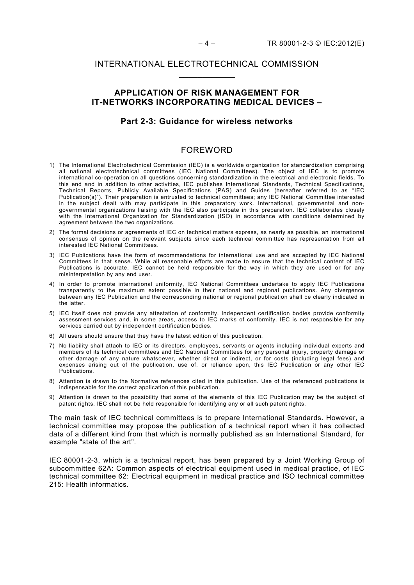# INTERNATIONAL ELECTROTECHNICAL COMMISSION \_\_\_\_\_\_\_\_\_\_\_\_

# **APPLICATION OF RISK MANAGEMENT FOR IT-NETWORKS INCORPORATING MEDICAL DEVICES –**

#### **Part 2-3: Guidance for wireless networks**

#### FOREWORD

- 1) The International Electrotechnical Commission (IEC) is a worldwide organization for standardization comprising all national electrotechnical committees (IEC National Committees). The object of IEC is to promote international co-operation on all questions concerning standardization in the electrical and electronic fields. To this end and in addition to other activities, IEC publishes International Standards, Technical Specifications, Technical Reports, Publicly Available Specifications (PAS) and Guides (hereafter referred to as "IEC Publication(s)"). Their preparation is entrusted to technical committees; any IEC National Committee interested in the subject dealt with may participate in this preparatory work. International, governmental and nongovernmental organizations liaising with the IEC also participate in this preparation. IEC collaborates closely with the International Organization for Standardization (ISO) in accordance with conditions determined by agreement between the two organizations.
- 2) The formal decisions or agreements of IEC on technical matters express, as nearly as possible, an international consensus of opinion on the relevant subjects since each technical committee has representation from all interested IEC National Committees.
- 3) IEC Publications have the form of recommendations for international use and are accepted by IEC National Committees in that sense. While all reasonable efforts are made to ensure that the technical content of IEC Publications is accurate, IEC cannot be held responsible for the way in which they are used or for any misinterpretation by any end user.
- 4) In order to promote international uniformity, IEC National Committees undertake to apply IEC Publications transparently to the maximum extent possible in their national and regional publications. Any divergence between any IEC Publication and the corresponding national or regional publication shall be clearly indicated in the latter.
- 5) IEC itself does not provide any attestation of conformity. Independent certification bodies provide conformity assessment services and, in some areas, access to IEC marks of conformity. IEC is not responsible for any services carried out by independent certification bodies.
- 6) All users should ensure that they have the latest edition of this publication.
- 7) No liability shall attach to IEC or its directors, employees, servants or agents including individual experts and members of its technical committees and IEC National Committees for any personal injury, property damage or other damage of any nature whatsoever, whether direct or indirect, or for costs (including legal fees) and expenses arising out of the publication, use of, or reliance upon, this IEC Publication or any other IEC Publications.
- 8) Attention is drawn to the Normative references cited in this publication. Use of the referenced publications is indispensable for the correct application of this publication.
- 9) Attention is drawn to the possibility that some of the elements of this IEC Publication may be the subject of patent rights. IEC shall not be held responsible for identifying any or all such patent rights.

The main task of IEC technical committees is to prepare International Standards. However, a technical committee may propose the publication of a technical report when it has collected data of a different kind from that which is normally published as an International Standard, for example "state of the art".

IEC 80001-2-3, which is a technical report, has been prepared by a Joint Working Group of subcommittee 62A: Common aspects of electrical equipment used in medical practice, of IEC technical committee 62: Electrical equipment in medical practice and ISO technical committee 215: Health informatics.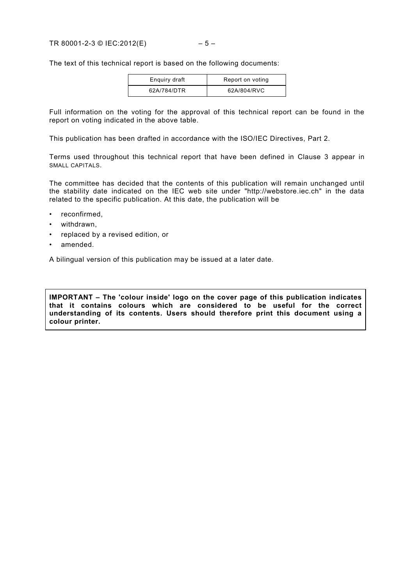The text of this technical report is based on the following documents:

| Enguiry draft | Report on voting |
|---------------|------------------|
| 62A/784/DTR   | 62A/804/RVC      |

Full information on the voting for the approval of this technical report can be found in the report on voting indicated in the above table.

This publication has been drafted in accordance with the ISO/IEC Directives, Part 2.

Terms used throughout this technical report that have been defined in Clause 3 appear in SMALL CAPITALS.

The committee has decided that the contents of this publication will remain unchanged until the stability date indicated on the IEC web site under "http://webstore.iec.ch" in the data related to the specific publication. At this date, the publication will be

- reconfirmed,
- withdrawn,
- replaced by a revised edition, or
- amended.

A bilingual version of this publication may be issued at a later date.

**IMPORTANT – The 'colour inside' logo on the cover page of this publication indicates that it contains colours which are considered to be useful for the correct understanding of its contents. Users should therefore print this document using a colour printer.**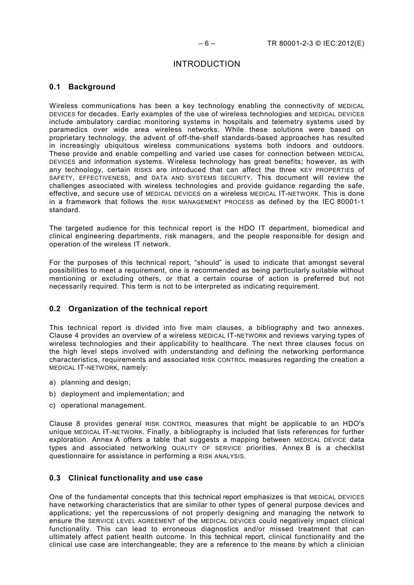# INTRODUCTION

# **0.1 Background**

Wireless communications has been a key technology enabling the connectivity of MEDICAL DEVICES for decades. Early examples of the use of wireless technologies and MEDICAL DEVICES include ambulatory cardiac monitoring systems in hospitals and telemetry systems used by paramedics over wide area wireless networks. While these solutions were based on proprietary technology, the advent of off-the-shelf standards-based approaches has resulted in increasingly ubiquitous wireless communications systems both indoors and outdoors. These provide and enable compelling and varied use cases for connection between MEDICAL DEVICES and information systems. Wireless technology has great benefits; however, as with any technology, certain RISKS are introduced that can affect the three KEY PROPERTIES of SAFETY, EFFECTIVENESS, and DATA AND SYSTEMS SECURITY. This document will review the challenges associated with wireless technologies and provide guidance regarding the safe, effective, and secure use of MEDICAL DEVICES on a wireless MEDICAL IT-NETWORK. This is done in a framework that follows the RISK MANAGEMENT PROCESS as defined by the IEC 80001-1 standard.

The targeted audience for this technical report is the HDO IT department, biomedical and clinical engineering departments, risk managers, and the people responsible for design and operation of the wireless IT network.

For the purposes of this technical report, "should" is used to indicate that amongst several possibilities to meet a requirement, one is recommended as being particularly suitable without mentioning or excluding others, or that a certain course of action is preferred but not necessarily required. This term is not to be interpreted as indicating requirement.

#### **0.2 Organization of the technical report**

This technical report is divided into five main clauses, a bibliography and two annexes. Clause 4 provides an overview of a wireless MEDICAL IT-NETWORK and reviews varying types of wireless technologies and their applicability to healthcare. The next three clauses focus on the high level steps involved with understanding and defining the networking performance characteristics, requirements and associated RISK CONTROL measures regarding the creation a MEDICAL IT-NETWORK, namely:

- a) planning and design;
- b) deployment and implementation; and
- c) operational management.

Clause 8 provides general RISK CONTROL measures that might be applicable to an HDO's unique MEDICAL IT-NETWORK. Finally, a bibliography is included that lists references for further exploration. Annex A offers a table that suggests a mapping between MEDICAL DEVICE data types and associated networking QUALITY OF SERVICE priorities. Annex B is a checklist questionnaire for assistance in performing a RISK ANALYSIS.

#### **0.3 Clinical functionality and use case**

One of the fundamental concepts that this technical report emphasizes is that MEDICAL DEVICES have networking characteristics that are similar to other types of general purpose devices and applications; yet the repercussions of not properly designing and managing the network to ensure the SERVICE LEVEL AGREEMENT of the MEDICAL DEVICES could negatively impact clinical functionality. This can lead to erroneous diagnostics and/or missed treatment that can ultimately affect patient health outcome. In this technical report, clinical functionality and the clinical use case are interchangeable; they are a reference to the means by which a clinician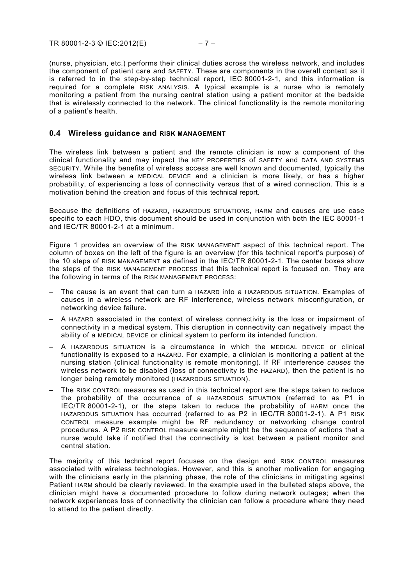(nurse, physician, etc.) performs their clinical duties across the wireless network, and includes the component of patient care and SAFETY. These are components in the overall context as it is referred to in the step-by-step technical report, IEC 80001-2-1, and this information is required for a complete RISK ANALYSIS. A typical example is a nurse who is remotely monitoring a patient from the nursing central station using a patient monitor at the bedside that is wirelessly connected to the network. The clinical functionality is the remote monitoring of a patient's health.

#### **0.4 Wireless guidance and RISK MANAGEMENT**

The wireless link between a patient and the remote clinician is now a component of the clinical functionality and may impact the KEY PROPERTIES of SAFETY and DATA AND SYSTEMS SECURITY. While the benefits of wireless access are well known and documented, typically the wireless link between a MEDICAL DEVICE and a clinician is more likely, or has a higher probability, of experiencing a loss of connectivity versus that of a wired connection. This is a motivation behind the creation and focus of this technical report.

Because the definitions of HAZARD, HAZARDOUS SITUATIONS, HARM and causes are use case specific to each HDO, this document should be used in conjunction with both the IEC 80001-1 and IEC/TR 80001-2-1 at a minimum.

[Figure 1](#page-7-0) provides an overview of the RISK MANAGEMENT aspect of this technical report. The column of boxes on the left of the figure is an overview (for this technical report's purpose) of the 10 steps of RISK MANAGEMENT as defined in the IEC/TR 80001-2-1. The center boxes show the steps of the RISK MANAGEMENT PROCESS that this technical report is focused on. They are the following in terms of the RISK MANAGEMENT PROCESS:

- The cause is an event that can turn a HAZARD into a HAZARDOUS SITUATION. Examples of causes in a wireless network are RF interference, wireless network misconfiguration, or networking device failure.
- A HAZARD associated in the context of wireless connectivity is the loss or impairment of connectivity in a medical system. This disruption in connectivity can negatively impact the ability of a MEDICAL DEVICE or clinical system to perform its intended function.
- A HAZARDOUS SITUATION is a circumstance in which the MEDICAL DEVICE or clinical functionality is exposed to a HAZARD. For example, a clinician is monitoring a patient at the nursing station (clinical functionality is remote monitoring). If RF interference *causes* the wireless network to be disabled (loss of connectivity is the HAZARD), then the patient is no longer being remotely monitored (HAZARDOUS SITUATION).
- The RISK CONTROL measures as used in this technical report are the steps taken to reduce the probability of the occurrence of a HAZARDOUS SITUATION (referred to as P1 in IEC/TR 80001-2-1), or the steps taken to reduce the probability of HARM once the HAZARDOUS SITUATION has occurred (referred to as P2 in IEC/TR 80001-2-1). A P1 RISK CONTROL measure example might be RF redundancy or networking change control procedures. A P2 RISK CONTROL measure example might be the sequence of actions that a nurse would take if notified that the connectivity is lost between a patient monitor and central station.

The majority of this technical report focuses on the design and RISK CONTROL measures associated with wireless technologies. However, and this is another motivation for engaging with the clinicians early in the planning phase, the role of the clinicians in mitigating against Patient HARM should be clearly reviewed. In the example used in the bulleted steps above, the clinician might have a documented procedure to follow during network outages; when the network experiences loss of connectivity the clinician can follow a procedure where they need to attend to the patient directly.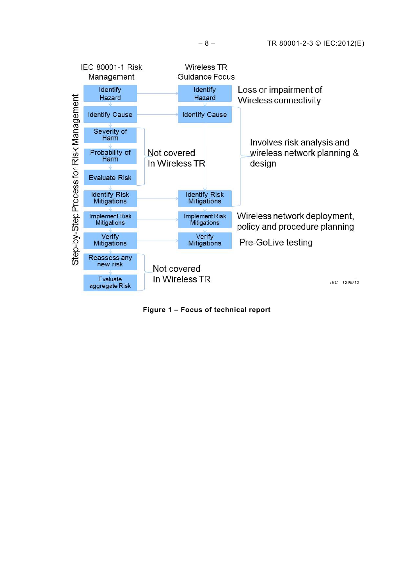

<span id="page-7-0"></span>**Figure 1 – Focus of technical report**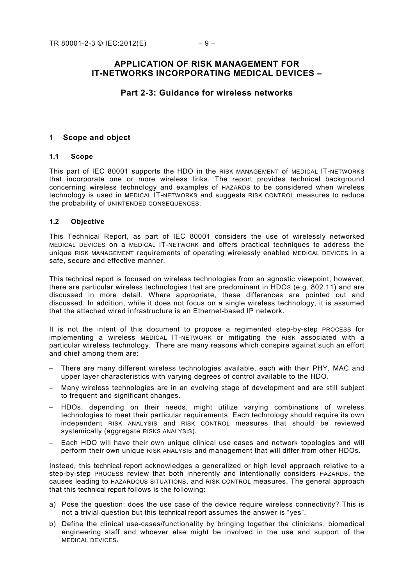# **APPLICATION OF RISK MANAGEMENT FOR IT-NETWORKS INCORPORATING MEDICAL DEVICES –**

## **Part 2-3: Guidance for wireless networks**

#### **1 Scope and object**

#### **1.1 Scope**

This part of IEC 80001 supports the HDO in the RISK MANAGEMENT of MEDICAL IT-NETWORKS that incorporate one or more wireless links. The report provides technical background concerning wireless technology and examples of HAZARDS to be considered when wireless technology is used in MEDICAL IT-NETWORKS and suggests RISK CONTROL measures to reduce the probability of UNINTENDED CONSEQUENCES.

#### **1.2 Objective**

This Technical Report, as part of IEC 80001 considers the use of wirelessly networked MEDICAL DEVICES on a MEDICAL IT-NETWORK and offers practical techniques to address the unique RISK MANAGEMENT requirements of operating wirelessly enabled MEDICAL DEVICES in a safe, secure and effective manner.

This technical report is focused on wireless technologies from an agnostic viewpoint; however, there are particular wireless technologies that are predominant in HDOS (e.g. 802.11) and are discussed in more detail. Where appropriate, these differences are pointed out and discussed. In addition, while it does not focus on a single wireless technology, it is assumed that the attached wired infrastructure is an Ethernet-based IP network.

It is not the intent of this document to propose a regimented step-by-step PROCESS for implementing a wireless MEDICAL IT-NETWORK or mitigating the RISK associated with a particular wireless technology. There are many reasons which conspire against such an effort and chief among them are:

- There are many different wireless technologies available, each with their PHY, MAC and upper layer characteristics with varying degrees of control available to the HDO.
- Many wireless technologies are in an evolving stage of development and are still subject to frequent and significant changes.
- HDOs, depending on their needs, might utilize varying combinations of wireless technologies to meet their particular requirements. Each technology should require its own independent RISK ANALYSIS and RISK CONTROL measures that should be reviewed systemically (aggregate RISKS ANALYSIS).
- Each HDO will have their own unique clinical use cases and network topologies and will perform their own unique RISK ANALYSIS and management that will differ from other HDOs.

Instead, this technical report acknowledges a generalized or high level approach relative to a step-by-step PROCESS review that both inherently and intentionally considers HAZARDS, the causes leading to HAZARDOUS SITUATIONS, and RISK CONTROL measures. The general approach that this technical report follows is the following:

- a) Pose the question: does the use case of the device require wireless connectivity? This is not a trivial question but this technical report assumes the answer is "yes".
- b) Define the clinical use-cases/functionality by bringing together the clinicians, biomedical engineering staff and whoever else might be involved in the use and support of the MEDICAL DEVICES.